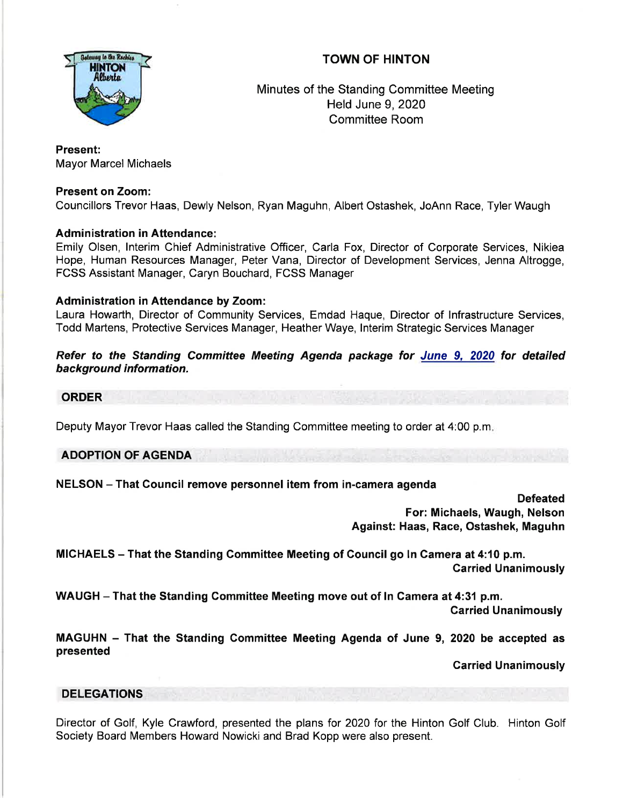# TOWN OF HINTON



Minutes of the Standing Committee Meeting Held June 9,2020 Committee Room

#### Present: Mayor Marcel Michaels

# Present on Zoom:

Councillors Trevor Haas, Dewly Nelson, Ryan Maguhn, Albert Ostashek, JoAnn Race, Tyler Waugh

# **Administration in Attendance:**

Emily Olsen, lnterim Chief Administrative Officer, Carla Fox, Director of Corporate Services, Nikiea Hope, Human Resources Manager, Peter Vana, Director of Development Services, Jenna Altrogge, FCSS Assistant Manager, Caryn Bouchard, FCSS Manager

## Administration in Attendance by Zoom:

Laura Howarth, Director of Community Services, Emdad Haque, Director of lnfrastructure Services, Todd Martens, Protective Services Manager, Heather Waye, lnterim Strategic Services Manager

Refer to the Standing Committee Meeting Agenda package for June 9, 2020 for detailed background information.

#### ORDER

Deputy Mayor Trevor Haas called the Standing Committee meeting to order at 4:00 p.m

ADOPTION OF AGENDA

## NELSON - That Council remove personnel item from in-camera agenda

**Defeated** For: Michaels, Waugh, Nelson Against: Haas, Race, Ostashek, Maguhn

MICHAELS - That the Standing Gommittee Meeting of Gouncil go ln Gamera at 4:10 p.m. Garried Unanimously

WAUGH - That the Standing Committee Meeting move out of In Camera at 4:31 p.m.

Garried Unanimously

MAGUHN - That the Standing Gommittee Meeting Agenda of June 9, 2020 be accepted as presented

Garried Unanimously

## DELEGATIONS

Director of Golf, Kyle Crawford, presented the plans for 202Q for the Hinton Golf Club. Hinton Golf Society Board Members Howard Nowicki and Brad Kopp were also present.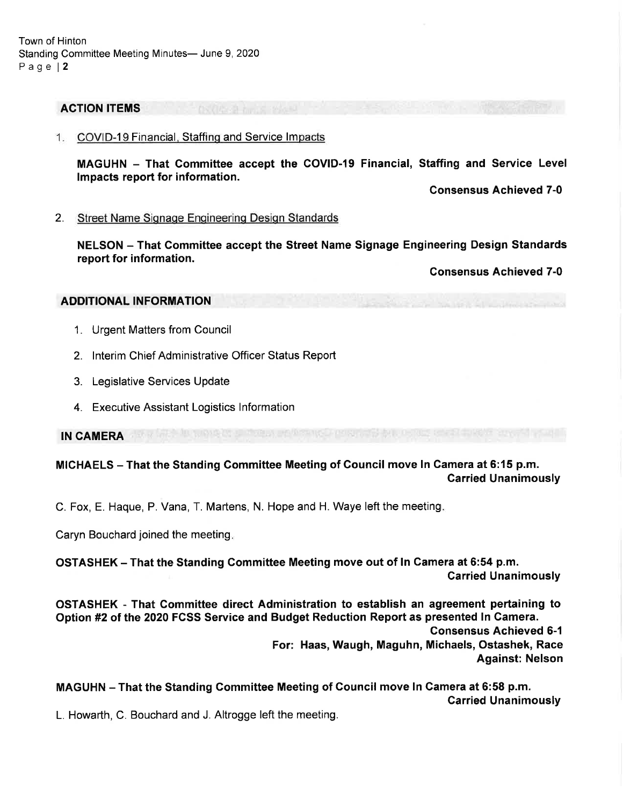#### ACTION ITEMS

1. COVID-19 Financial, Staffing and Service Impacts

MAGUHN - That Gommittee accept the COVID-19 Financial, Staffing and Service Level lmpacts report for information.

Gonsensus Achieved 7-0

2. Street Name Signage Engineering Design Standards

NELSON - That Committee accept the Street Name Signage Engineering Design Standards report for information.

Consensus Achieved 7-0

#### ADDITIONAL INFORMATION

- 1. Urgent Matters from Council
- 2. lnterim Chief Administrative Officer Status Report
- 3. Legislative Services Update
- 4. Executive Assistant Logistics Information

IN CAMERA

MICHAELS - That the Standing Committee Meeting of Council move In Camera at 6:15 p.m. Carried Unanimously

C. Fox, E. Haque, P. Vana, T. Martens, N. Hope and H. Waye left the meeting

Caryn Bouchard joined the meeting

OSTASHEK - That the Standing Committee Meeting move out of ln Camera at 6:54 p.m. Garried Unanimously

OSTASHEK - That Gommittee direct Administration to establish an agreement pertaining to Option #2 of the 2020 FCSS Service and Budget Reduction Report as presented In Camera. Consensus Achieved 6-1 For: Haas, Waugh, Maguhn, Michaels, Ostashek, Race

Against: Nelson

MAGUHN - That the Standing Committee Meeting of Council move In Camera at 6:58 p.m. Carried Unanimously

L. Howarth, C. Bouchard and J. Altrogge left the meeting.